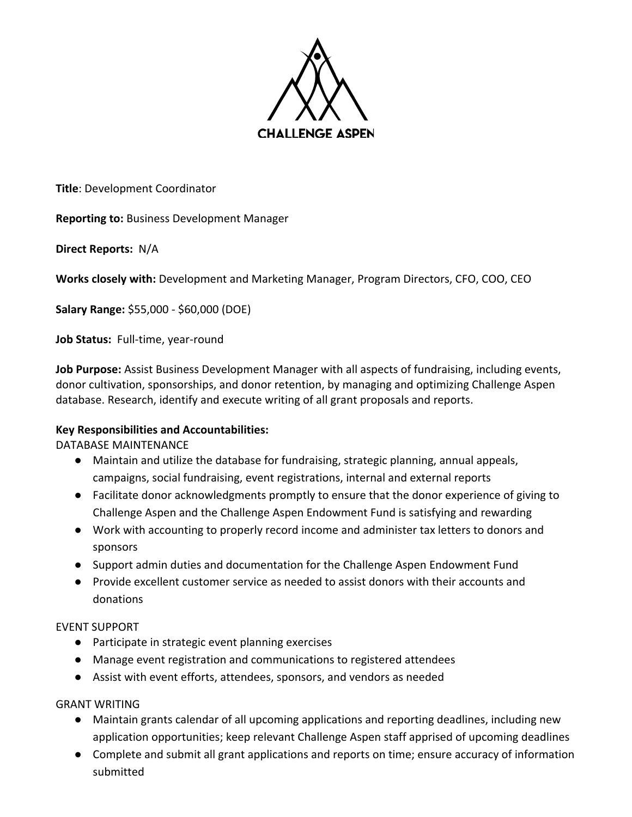

**Title**: Development Coordinator

**Reporting to:** Business Development Manager

**Direct Reports:** N/A

**Works closely with:** Development and Marketing Manager, Program Directors, CFO, COO, CEO

**Salary Range:** \$55,000 - \$60,000 (DOE)

**Job Status:** Full-time, year-round

**Job Purpose:** Assist Business Development Manager with all aspects of fundraising, including events, donor cultivation, sponsorships, and donor retention, by managing and optimizing Challenge Aspen database. Research, identify and execute writing of all grant proposals and reports.

# **Key Responsibilities and Accountabilities:**

DATABASE MAINTENANCE

- Maintain and utilize the database for fundraising, strategic planning, annual appeals, campaigns, social fundraising, event registrations, internal and external reports
- Facilitate donor acknowledgments promptly to ensure that the donor experience of giving to Challenge Aspen and the Challenge Aspen Endowment Fund is satisfying and rewarding
- Work with accounting to properly record income and administer tax letters to donors and sponsors
- Support admin duties and documentation for the Challenge Aspen Endowment Fund
- Provide excellent customer service as needed to assist donors with their accounts and donations

# EVENT SUPPORT

- Participate in strategic event planning exercises
- Manage event registration and communications to registered attendees
- Assist with event efforts, attendees, sponsors, and vendors as needed

# GRANT WRITING

- Maintain grants calendar of all upcoming applications and reporting deadlines, including new application opportunities; keep relevant Challenge Aspen staff apprised of upcoming deadlines
- Complete and submit all grant applications and reports on time; ensure accuracy of information submitted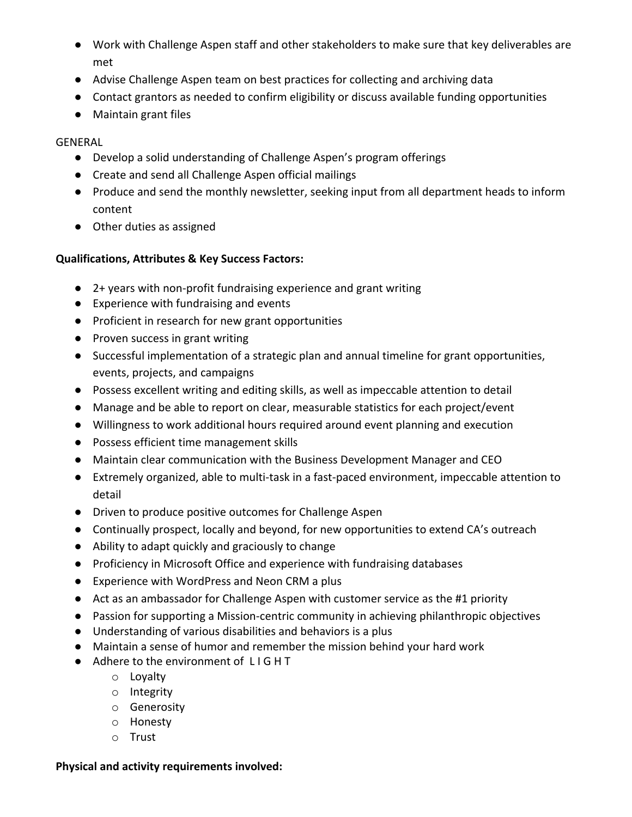- Work with Challenge Aspen staff and other stakeholders to make sure that key deliverables are met
- Advise Challenge Aspen team on best practices for collecting and archiving data
- Contact grantors as needed to confirm eligibility or discuss available funding opportunities
- Maintain grant files

# GENERAL

- Develop a solid understanding of Challenge Aspen's program offerings
- Create and send all Challenge Aspen official mailings
- Produce and send the monthly newsletter, seeking input from all department heads to inform content
- Other duties as assigned

# **Qualifications, Attributes & Key Success Factors:**

- 2+ years with non-profit fundraising experience and grant writing
- Experience with fundraising and events
- Proficient in research for new grant opportunities
- Proven success in grant writing
- Successful implementation of a strategic plan and annual timeline for grant opportunities, events, projects, and campaigns
- Possess excellent writing and editing skills, as well as impeccable attention to detail
- Manage and be able to report on clear, measurable statistics for each project/event
- Willingness to work additional hours required around event planning and execution
- Possess efficient time management skills
- Maintain clear communication with the Business Development Manager and CEO
- Extremely organized, able to multi-task in a fast-paced environment, impeccable attention to detail
- Driven to produce positive outcomes for Challenge Aspen
- Continually prospect, locally and beyond, for new opportunities to extend CA's outreach
- Ability to adapt quickly and graciously to change
- Proficiency in Microsoft Office and experience with fundraising databases
- Experience with WordPress and Neon CRM a plus
- Act as an ambassador for Challenge Aspen with customer service as the #1 priority
- Passion for supporting a Mission-centric community in achieving philanthropic objectives
- Understanding of various disabilities and behaviors is a plus
- Maintain a sense of humor and remember the mission behind your hard work
- Adhere to the environment of LIGHT
	- o Loyalty
	- o Integrity
	- o Generosity
	- o Honesty
	- o Trust

# **Physical and activity requirements involved:**